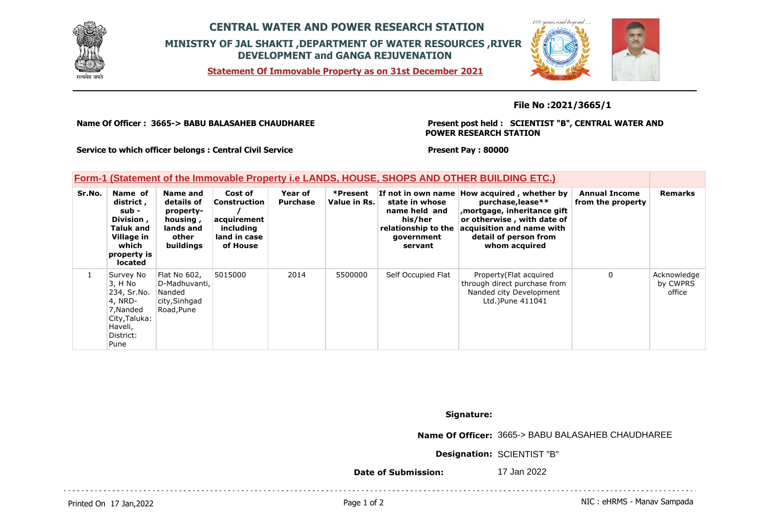

## **CENTRAL WATER AND POWER RESEARCH STATION MINISTRY OF JAL SHAKTI ,DEPARTMENT OF WATER RESOURCES ,RIVER DEVELOPMENT and GANGA REJUVENATION**

**Statement Of Immovable Property as on 31st December 2021**



## **File No :2021/3665/1**

**Name Of Officer : 3665-> BABU BALASAHEB CHAUDHAREE** 

**Present post held : SCIENTIST "B", CENTRAL WATER AND POWER RESEARCH STATION**

**Service to which officer belongs : Central Civil Service**

**Present Pay : 80000**

## **Form-1 (Statement of the Immovable Property i.e LANDS, HOUSE, SHOPS AND OTHER BUILDING ETC.)**

| Sr.No. | Name of<br>district,<br>sub -<br>Division,<br><b>Taluk and</b><br>Village in<br>which<br>property is<br><b>located</b> | Name and<br>details of<br>property-<br>housing,<br>lands and<br>other<br><b>buildings</b> | Cost of<br><b>Construction</b><br>acquirement<br>including<br>land in case<br>of House | Year of<br><b>Purchase</b> | *Present<br>Value in Rs. | state in whose<br>name held and<br>his/her<br>relationship to the<br>qovernment<br>servant | If not in own name How acquired, whether by<br>purchase, lease**<br>, mortgage, inheritance gift<br>or otherwise, with date of<br>acquisition and name with<br>detail of person from<br>whom acquired | <b>Annual Income</b><br>from the property | <b>Remarks</b>                    |
|--------|------------------------------------------------------------------------------------------------------------------------|-------------------------------------------------------------------------------------------|----------------------------------------------------------------------------------------|----------------------------|--------------------------|--------------------------------------------------------------------------------------------|-------------------------------------------------------------------------------------------------------------------------------------------------------------------------------------------------------|-------------------------------------------|-----------------------------------|
|        | Survey No<br>3, H No<br>234, Sr.No.<br>4, NRD-<br>7, Nanded<br>City, Taluka:<br>Haveli,<br>District:<br>Pune           | Flat No 602.<br>D-Madhuvanti,<br>Nanded<br>city, Sinhgad<br>Road, Pune                    | 5015000                                                                                | 2014                       | 5500000                  | Self Occupied Flat                                                                         | Property (Flat acquired<br>through direct purchase from<br>Nanded city Development<br>Ltd.) Pune 411041                                                                                               | $\mathbf{0}$                              | Acknowledge<br>by CWPRS<br>office |

**Signature:**

**Name Of Officer:** 3665-> BABU BALASAHEB CHAUDHAREE

**Designation:** SCIENTIST "B"

**Date of Submission:** 17 Jan 2022